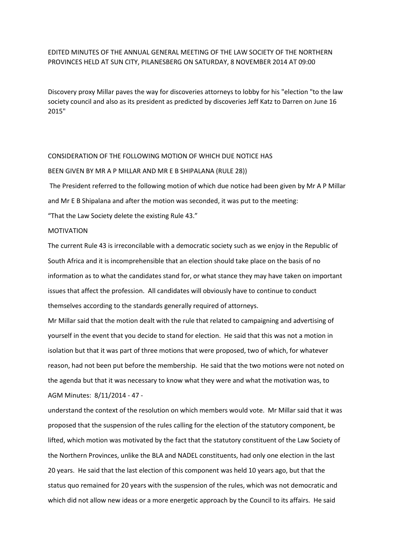## EDITED MINUTES OF THE ANNUAL GENERAL MEETING OF THE LAW SOCIETY OF THE NORTHERN PROVINCES HELD AT SUN CITY, PILANESBERG ON SATURDAY, 8 NOVEMBER 2014 AT 09:00

Discovery proxy Millar paves the way for discoveries attorneys to lobby for his "election "to the law society council and also as its president as predicted by discoveries Jeff Katz to Darren on June 16 2015"

### CONSIDERATION OF THE FOLLOWING MOTION OF WHICH DUE NOTICE HAS

#### BEEN GIVEN BY MR A P MILLAR AND MR E B SHIPALANA (RULE 28))

The President referred to the following motion of which due notice had been given by Mr A P Millar and Mr E B Shipalana and after the motion was seconded, it was put to the meeting:

"That the Law Society delete the existing Rule 43."

# MOTIVATION

The current Rule 43 is irreconcilable with a democratic society such as we enjoy in the Republic of South Africa and it is incomprehensible that an election should take place on the basis of no information as to what the candidates stand for, or what stance they may have taken on important issues that affect the profession. All candidates will obviously have to continue to conduct themselves according to the standards generally required of attorneys.

Mr Millar said that the motion dealt with the rule that related to campaigning and advertising of yourself in the event that you decide to stand for election. He said that this was not a motion in isolation but that it was part of three motions that were proposed, two of which, for whatever reason, had not been put before the membership. He said that the two motions were not noted on the agenda but that it was necessary to know what they were and what the motivation was, to AGM Minutes: 8/11/2014 - 47 -

understand the context of the resolution on which members would vote. Mr Millar said that it was proposed that the suspension of the rules calling for the election of the statutory component, be lifted, which motion was motivated by the fact that the statutory constituent of the Law Society of the Northern Provinces, unlike the BLA and NADEL constituents, had only one election in the last 20 years. He said that the last election of this component was held 10 years ago, but that the status quo remained for 20 years with the suspension of the rules, which was not democratic and which did not allow new ideas or a more energetic approach by the Council to its affairs. He said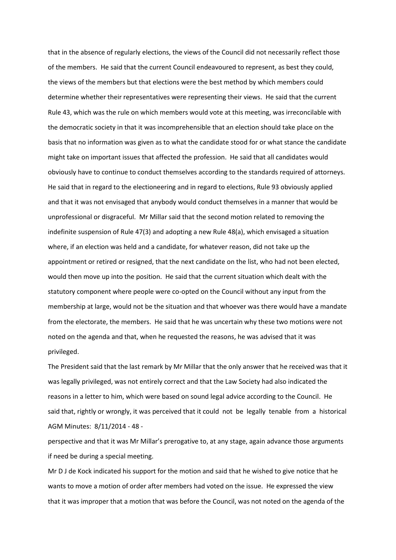that in the absence of regularly elections, the views of the Council did not necessarily reflect those of the members. He said that the current Council endeavoured to represent, as best they could, the views of the members but that elections were the best method by which members could determine whether their representatives were representing their views. He said that the current Rule 43, which was the rule on which members would vote at this meeting, was irreconcilable with the democratic society in that it was incomprehensible that an election should take place on the basis that no information was given as to what the candidate stood for or what stance the candidate might take on important issues that affected the profession. He said that all candidates would obviously have to continue to conduct themselves according to the standards required of attorneys. He said that in regard to the electioneering and in regard to elections, Rule 93 obviously applied and that it was not envisaged that anybody would conduct themselves in a manner that would be unprofessional or disgraceful. Mr Millar said that the second motion related to removing the indefinite suspension of Rule 47(3) and adopting a new Rule 48(a), which envisaged a situation where, if an election was held and a candidate, for whatever reason, did not take up the appointment or retired or resigned, that the next candidate on the list, who had not been elected, would then move up into the position. He said that the current situation which dealt with the statutory component where people were co-opted on the Council without any input from the membership at large, would not be the situation and that whoever was there would have a mandate from the electorate, the members. He said that he was uncertain why these two motions were not noted on the agenda and that, when he requested the reasons, he was advised that it was privileged.

The President said that the last remark by Mr Millar that the only answer that he received was that it was legally privileged, was not entirely correct and that the Law Society had also indicated the reasons in a letter to him, which were based on sound legal advice according to the Council. He said that, rightly or wrongly, it was perceived that it could not be legally tenable from a historical AGM Minutes: 8/11/2014 - 48 -

perspective and that it was Mr Millar's prerogative to, at any stage, again advance those arguments if need be during a special meeting.

Mr D J de Kock indicated his support for the motion and said that he wished to give notice that he wants to move a motion of order after members had voted on the issue. He expressed the view that it was improper that a motion that was before the Council, was not noted on the agenda of the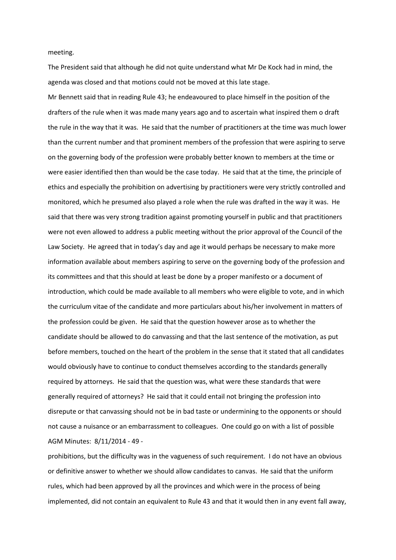meeting.

The President said that although he did not quite understand what Mr De Kock had in mind, the agenda was closed and that motions could not be moved at this late stage.

Mr Bennett said that in reading Rule 43; he endeavoured to place himself in the position of the drafters of the rule when it was made many years ago and to ascertain what inspired them o draft the rule in the way that it was. He said that the number of practitioners at the time was much lower than the current number and that prominent members of the profession that were aspiring to serve on the governing body of the profession were probably better known to members at the time or were easier identified then than would be the case today. He said that at the time, the principle of ethics and especially the prohibition on advertising by practitioners were very strictly controlled and monitored, which he presumed also played a role when the rule was drafted in the way it was. He said that there was very strong tradition against promoting yourself in public and that practitioners were not even allowed to address a public meeting without the prior approval of the Council of the Law Society. He agreed that in today's day and age it would perhaps be necessary to make more information available about members aspiring to serve on the governing body of the profession and its committees and that this should at least be done by a proper manifesto or a document of introduction, which could be made available to all members who were eligible to vote, and in which the curriculum vitae of the candidate and more particulars about his/her involvement in matters of the profession could be given. He said that the question however arose as to whether the candidate should be allowed to do canvassing and that the last sentence of the motivation, as put before members, touched on the heart of the problem in the sense that it stated that all candidates would obviously have to continue to conduct themselves according to the standards generally required by attorneys. He said that the question was, what were these standards that were generally required of attorneys? He said that it could entail not bringing the profession into disrepute or that canvassing should not be in bad taste or undermining to the opponents or should not cause a nuisance or an embarrassment to colleagues. One could go on with a list of possible AGM Minutes: 8/11/2014 - 49 -

prohibitions, but the difficulty was in the vagueness of such requirement. I do not have an obvious or definitive answer to whether we should allow candidates to canvas. He said that the uniform rules, which had been approved by all the provinces and which were in the process of being implemented, did not contain an equivalent to Rule 43 and that it would then in any event fall away,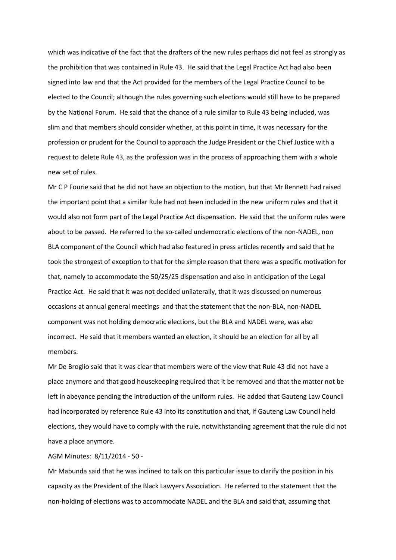which was indicative of the fact that the drafters of the new rules perhaps did not feel as strongly as the prohibition that was contained in Rule 43. He said that the Legal Practice Act had also been signed into law and that the Act provided for the members of the Legal Practice Council to be elected to the Council; although the rules governing such elections would still have to be prepared by the National Forum. He said that the chance of a rule similar to Rule 43 being included, was slim and that members should consider whether, at this point in time, it was necessary for the profession or prudent for the Council to approach the Judge President or the Chief Justice with a request to delete Rule 43, as the profession was in the process of approaching them with a whole new set of rules.

Mr C P Fourie said that he did not have an objection to the motion, but that Mr Bennett had raised the important point that a similar Rule had not been included in the new uniform rules and that it would also not form part of the Legal Practice Act dispensation. He said that the uniform rules were about to be passed. He referred to the so-called undemocratic elections of the non-NADEL, non BLA component of the Council which had also featured in press articles recently and said that he took the strongest of exception to that for the simple reason that there was a specific motivation for that, namely to accommodate the 50/25/25 dispensation and also in anticipation of the Legal Practice Act. He said that it was not decided unilaterally, that it was discussed on numerous occasions at annual general meetings and that the statement that the non-BLA, non-NADEL component was not holding democratic elections, but the BLA and NADEL were, was also incorrect. He said that it members wanted an election, it should be an election for all by all members.

Mr De Broglio said that it was clear that members were of the view that Rule 43 did not have a place anymore and that good housekeeping required that it be removed and that the matter not be left in abeyance pending the introduction of the uniform rules. He added that Gauteng Law Council had incorporated by reference Rule 43 into its constitution and that, if Gauteng Law Council held elections, they would have to comply with the rule, notwithstanding agreement that the rule did not have a place anymore.

AGM Minutes: 8/11/2014 - 50 -

Mr Mabunda said that he was inclined to talk on this particular issue to clarify the position in his capacity as the President of the Black Lawyers Association. He referred to the statement that the non-holding of elections was to accommodate NADEL and the BLA and said that, assuming that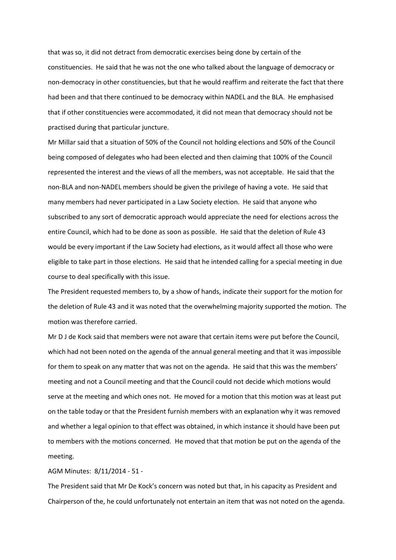that was so, it did not detract from democratic exercises being done by certain of the constituencies. He said that he was not the one who talked about the language of democracy or non-democracy in other constituencies, but that he would reaffirm and reiterate the fact that there had been and that there continued to be democracy within NADEL and the BLA. He emphasised that if other constituencies were accommodated, it did not mean that democracy should not be practised during that particular juncture.

Mr Millar said that a situation of 50% of the Council not holding elections and 50% of the Council being composed of delegates who had been elected and then claiming that 100% of the Council represented the interest and the views of all the members, was not acceptable. He said that the non-BLA and non-NADEL members should be given the privilege of having a vote. He said that many members had never participated in a Law Society election. He said that anyone who subscribed to any sort of democratic approach would appreciate the need for elections across the entire Council, which had to be done as soon as possible. He said that the deletion of Rule 43 would be every important if the Law Society had elections, as it would affect all those who were eligible to take part in those elections. He said that he intended calling for a special meeting in due course to deal specifically with this issue.

The President requested members to, by a show of hands, indicate their support for the motion for the deletion of Rule 43 and it was noted that the overwhelming majority supported the motion. The motion was therefore carried.

Mr D J de Kock said that members were not aware that certain items were put before the Council, which had not been noted on the agenda of the annual general meeting and that it was impossible for them to speak on any matter that was not on the agenda. He said that this was the members' meeting and not a Council meeting and that the Council could not decide which motions would serve at the meeting and which ones not. He moved for a motion that this motion was at least put on the table today or that the President furnish members with an explanation why it was removed and whether a legal opinion to that effect was obtained, in which instance it should have been put to members with the motions concerned. He moved that that motion be put on the agenda of the meeting.

#### AGM Minutes: 8/11/2014 - 51 -

The President said that Mr De Kock's concern was noted but that, in his capacity as President and Chairperson of the, he could unfortunately not entertain an item that was not noted on the agenda.